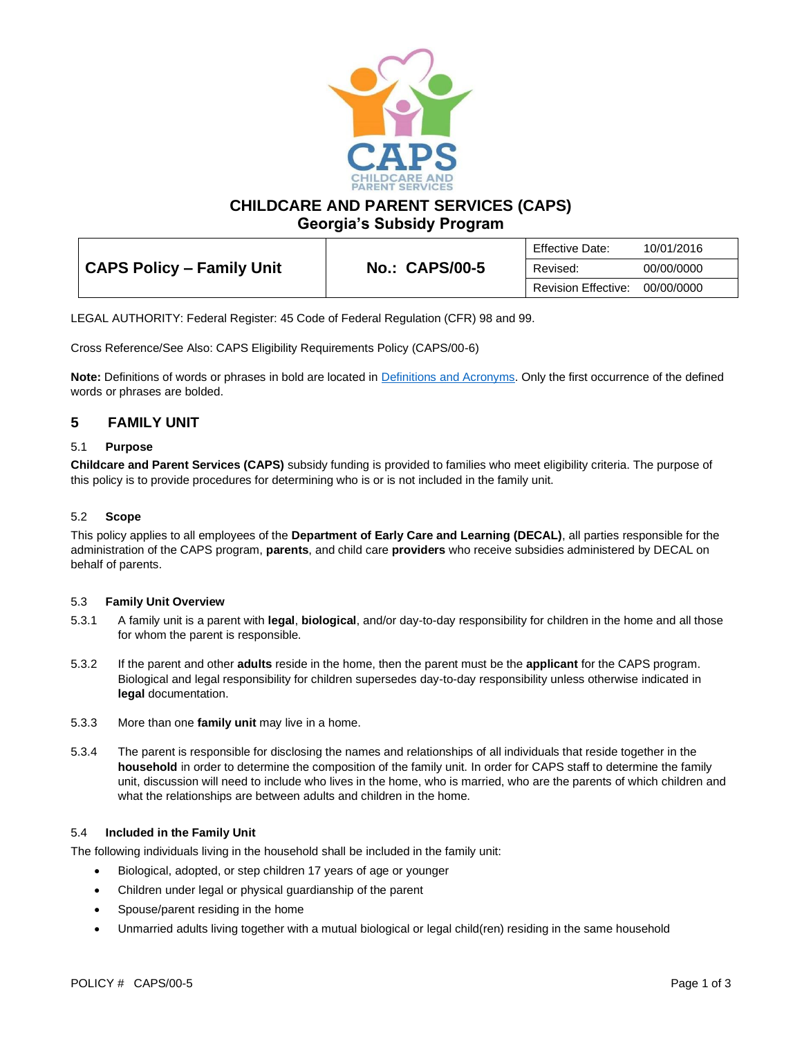

**CHILDCARE AND PARENT SERVICES (CAPS)**

**Georgia's Subsidy Program**

| <b>CAPS Policy - Family Unit</b> |                       | Effective Date:            | 10/01/2016 |
|----------------------------------|-----------------------|----------------------------|------------|
|                                  | <b>No.: CAPS/00-5</b> | Revised:                   | 00/00/0000 |
|                                  |                       | <b>Revision Effective:</b> | 00/00/0000 |

LEGAL AUTHORITY: Federal Register: 45 Code of Federal Regulation (CFR) 98 and 99.

Cross Reference/See Also: CAPS Eligibility Requirements Policy (CAPS/00-6)

**Note:** Definitions of words or phrases in bold are located in [Definitions and Acronyms.](https://caps.decal.ga.gov/assets/downloads/CAPS/02-CAPS_Policy-Definitions%20and%20Acronyms.pdf) Only the first occurrence of the defined words or phrases are bolded.

# **5 FAMILY UNIT**

## 5.1 **Purpose**

**Childcare and Parent Services (CAPS)** subsidy funding is provided to families who meet eligibility criteria. The purpose of this policy is to provide procedures for determining who is or is not included in the family unit.

### 5.2 **Scope**

This policy applies to all employees of the **Department of Early Care and Learning (DECAL)**, all parties responsible for the administration of the CAPS program, **parents**, and child care **providers** who receive subsidies administered by DECAL on behalf of parents.

#### 5.3 **Family Unit Overview**

- 5.3.1 A family unit is a parent with **legal**, **biological**, and/or day-to-day responsibility for children in the home and all those for whom the parent is responsible.
- 5.3.2 If the parent and other **adults** reside in the home, then the parent must be the **applicant** for the CAPS program. Biological and legal responsibility for children supersedes day-to-day responsibility unless otherwise indicated in **legal** documentation.
- 5.3.3 More than one **family unit** may live in a home.
- 5.3.4 The parent is responsible for disclosing the names and relationships of all individuals that reside together in the **household** in order to determine the composition of the family unit. In order for CAPS staff to determine the family unit, discussion will need to include who lives in the home, who is married, who are the parents of which children and what the relationships are between adults and children in the home.

#### 5.4 **Included in the Family Unit**

The following individuals living in the household shall be included in the family unit:

- Biological, adopted, or step children 17 years of age or younger
- Children under legal or physical guardianship of the parent
- Spouse/parent residing in the home
- Unmarried adults living together with a mutual biological or legal child(ren) residing in the same household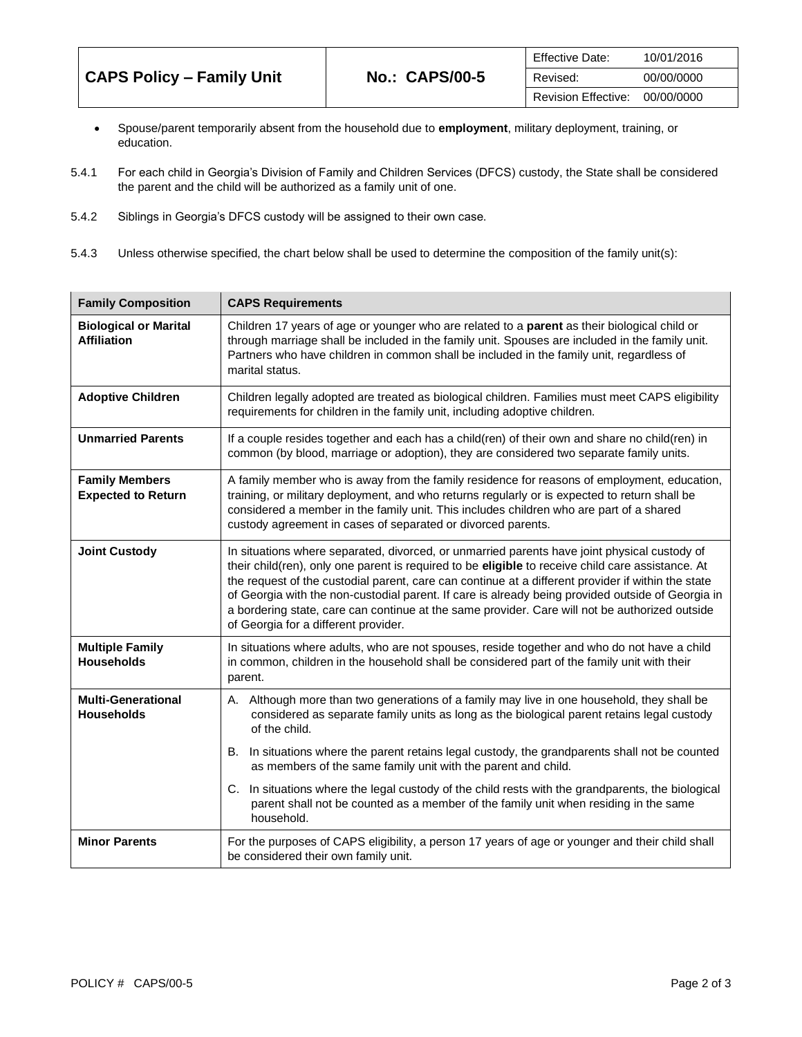|                                  |                       | <b>Effective Date:</b> | 10/01/2016 |
|----------------------------------|-----------------------|------------------------|------------|
| <b>CAPS Policy - Family Unit</b> | <b>No.: CAPS/00-5</b> | Revised:               | 00/00/0000 |
|                                  |                       | Revision Effective:    | 00/00/0000 |

- Spouse/parent temporarily absent from the household due to **employment**, military deployment, training, or education.
- 5.4.1 For each child in Georgia's Division of Family and Children Services (DFCS) custody, the State shall be considered the parent and the child will be authorized as a family unit of one.
- 5.4.2 Siblings in Georgia's DFCS custody will be assigned to their own case.
- 5.4.3 Unless otherwise specified, the chart below shall be used to determine the composition of the family unit(s):

| <b>Family Composition</b>                          | <b>CAPS Requirements</b>                                                                                                                                                                                                                                                                                                                                                                                                                                                                                                                               |
|----------------------------------------------------|--------------------------------------------------------------------------------------------------------------------------------------------------------------------------------------------------------------------------------------------------------------------------------------------------------------------------------------------------------------------------------------------------------------------------------------------------------------------------------------------------------------------------------------------------------|
| <b>Biological or Marital</b><br><b>Affiliation</b> | Children 17 years of age or younger who are related to a parent as their biological child or<br>through marriage shall be included in the family unit. Spouses are included in the family unit.<br>Partners who have children in common shall be included in the family unit, regardless of<br>marital status.                                                                                                                                                                                                                                         |
| <b>Adoptive Children</b>                           | Children legally adopted are treated as biological children. Families must meet CAPS eligibility<br>requirements for children in the family unit, including adoptive children.                                                                                                                                                                                                                                                                                                                                                                         |
| <b>Unmarried Parents</b>                           | If a couple resides together and each has a child(ren) of their own and share no child(ren) in<br>common (by blood, marriage or adoption), they are considered two separate family units.                                                                                                                                                                                                                                                                                                                                                              |
| <b>Family Members</b><br><b>Expected to Return</b> | A family member who is away from the family residence for reasons of employment, education,<br>training, or military deployment, and who returns regularly or is expected to return shall be<br>considered a member in the family unit. This includes children who are part of a shared<br>custody agreement in cases of separated or divorced parents.                                                                                                                                                                                                |
| <b>Joint Custody</b>                               | In situations where separated, divorced, or unmarried parents have joint physical custody of<br>their child(ren), only one parent is required to be eligible to receive child care assistance. At<br>the request of the custodial parent, care can continue at a different provider if within the state<br>of Georgia with the non-custodial parent. If care is already being provided outside of Georgia in<br>a bordering state, care can continue at the same provider. Care will not be authorized outside<br>of Georgia for a different provider. |
| <b>Multiple Family</b><br><b>Households</b>        | In situations where adults, who are not spouses, reside together and who do not have a child<br>in common, children in the household shall be considered part of the family unit with their<br>parent.                                                                                                                                                                                                                                                                                                                                                 |
| <b>Multi-Generational</b><br><b>Households</b>     | A. Although more than two generations of a family may live in one household, they shall be<br>considered as separate family units as long as the biological parent retains legal custody<br>of the child.                                                                                                                                                                                                                                                                                                                                              |
|                                                    | In situations where the parent retains legal custody, the grandparents shall not be counted<br>В.<br>as members of the same family unit with the parent and child.                                                                                                                                                                                                                                                                                                                                                                                     |
|                                                    | C. In situations where the legal custody of the child rests with the grandparents, the biological<br>parent shall not be counted as a member of the family unit when residing in the same<br>household.                                                                                                                                                                                                                                                                                                                                                |
| <b>Minor Parents</b>                               | For the purposes of CAPS eligibility, a person 17 years of age or younger and their child shall<br>be considered their own family unit.                                                                                                                                                                                                                                                                                                                                                                                                                |